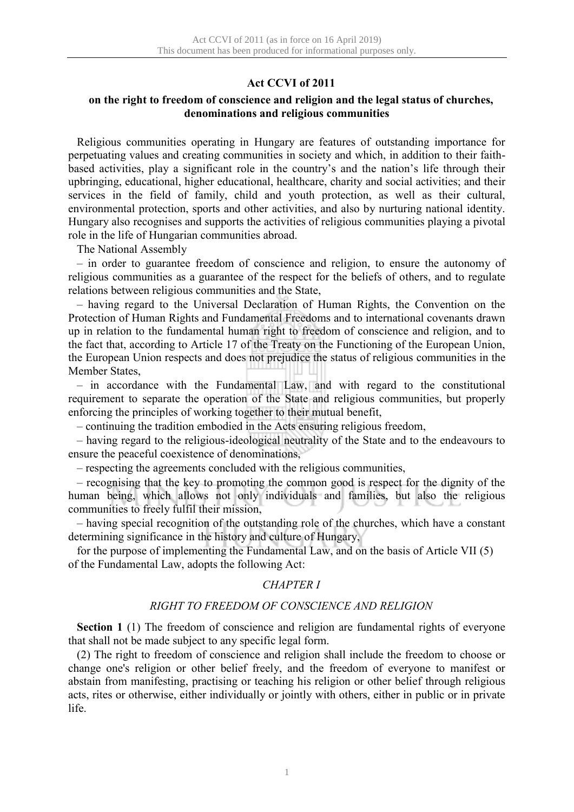## **Act CCVI of 2011**

## **on the right to freedom of conscience and religion and the legal status of churches, denominations and religious communities**

Religious communities operating in Hungary are features of outstanding importance for perpetuating values and creating communities in society and which, in addition to their faithbased activities, play a significant role in the country's and the nation's life through their upbringing, educational, higher educational, healthcare, charity and social activities; and their services in the field of family, child and youth protection, as well as their cultural, environmental protection, sports and other activities, and also by nurturing national identity. Hungary also recognises and supports the activities of religious communities playing a pivotal role in the life of Hungarian communities abroad.

The National Assembly

– in order to guarantee freedom of conscience and religion, to ensure the autonomy of religious communities as a guarantee of the respect for the beliefs of others, and to regulate relations between religious communities and the State,

– having regard to the Universal Declaration of Human Rights, the Convention on the Protection of Human Rights and Fundamental Freedoms and to international covenants drawn up in relation to the fundamental human right to freedom of conscience and religion, and to the fact that, according to Article 17 of the Treaty on the Functioning of the European Union, the European Union respects and does not prejudice the status of religious communities in the Member States,

– in accordance with the Fundamental Law, and with regard to the constitutional requirement to separate the operation of the State and religious communities, but properly enforcing the principles of working together to their mutual benefit,

– continuing the tradition embodied in the Acts ensuring religious freedom,

– having regard to the religious-ideological neutrality of the State and to the endeavours to ensure the peaceful coexistence of denominations,

– respecting the agreements concluded with the religious communities,

– recognising that the key to promoting the common good is respect for the dignity of the human being, which allows not only individuals and families, but also the religious communities to freely fulfil their mission,

– having special recognition of the outstanding role of the churches, which have a constant determining significance in the history and culture of Hungary,

for the purpose of implementing the Fundamental Law, and on the basis of Article VII (5) of the Fundamental Law, adopts the following Act:

## *CHAPTER I*

#### *RIGHT TO FREEDOM OF CONSCIENCE AND RELIGION*

**Section 1** (1) The freedom of conscience and religion are fundamental rights of everyone that shall not be made subject to any specific legal form.

(2) The right to freedom of conscience and religion shall include the freedom to choose or change one's religion or other belief freely, and the freedom of everyone to manifest or abstain from manifesting, practising or teaching his religion or other belief through religious acts, rites or otherwise, either individually or jointly with others, either in public or in private life.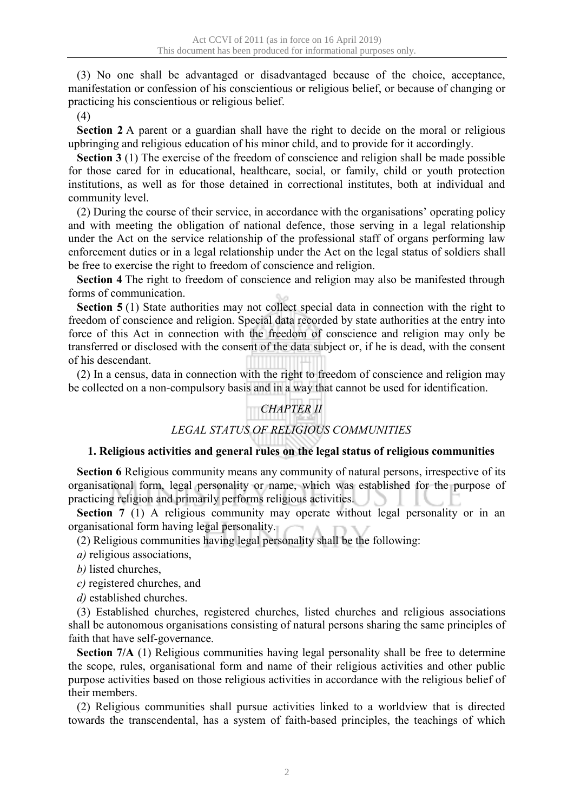(3) No one shall be advantaged or disadvantaged because of the choice, acceptance, manifestation or confession of his conscientious or religious belief, or because of changing or practicing his conscientious or religious belief.

(4)

**Section 2** A parent or a guardian shall have the right to decide on the moral or religious upbringing and religious education of his minor child, and to provide for it accordingly.

**Section 3** (1) The exercise of the freedom of conscience and religion shall be made possible for those cared for in educational, healthcare, social, or family, child or youth protection institutions, as well as for those detained in correctional institutes, both at individual and community level.

(2) During the course of their service, in accordance with the organisations' operating policy and with meeting the obligation of national defence, those serving in a legal relationship under the Act on the service relationship of the professional staff of organs performing law enforcement duties or in a legal relationship under the Act on the legal status of soldiers shall be free to exercise the right to freedom of conscience and religion.

**Section 4** The right to freedom of conscience and religion may also be manifested through forms of communication.

**Section 5** (1) State authorities may not collect special data in connection with the right to freedom of conscience and religion. Special data recorded by state authorities at the entry into force of this Act in connection with the freedom of conscience and religion may only be transferred or disclosed with the consent of the data subject or, if he is dead, with the consent of his descendant.

(2) In a census, data in connection with the right to freedom of conscience and religion may be collected on a non-compulsory basis and in a way that cannot be used for identification.

# *CHAPTER II*

# *LEGAL STATUS OF RELIGIOUS COMMUNITIES*

## **1. Religious activities and general rules on the legal status of religious communities**

**Section 6** Religious community means any community of natural persons, irrespective of its organisational form, legal personality or name, which was established for the purpose of practicing religion and primarily performs religious activities.

**Section 7** (1) A religious community may operate without legal personality or in an organisational form having legal personality.

(2) Religious communities having legal personality shall be the following:

- *a)* religious associations,
- *b)* listed churches,

*c)* registered churches, and

*d)* established churches.

(3) Established churches, registered churches, listed churches and religious associations shall be autonomous organisations consisting of natural persons sharing the same principles of faith that have self-governance.

**Section 7/A** (1) Religious communities having legal personality shall be free to determine the scope, rules, organisational form and name of their religious activities and other public purpose activities based on those religious activities in accordance with the religious belief of their members.

(2) Religious communities shall pursue activities linked to a worldview that is directed towards the transcendental, has a system of faith-based principles, the teachings of which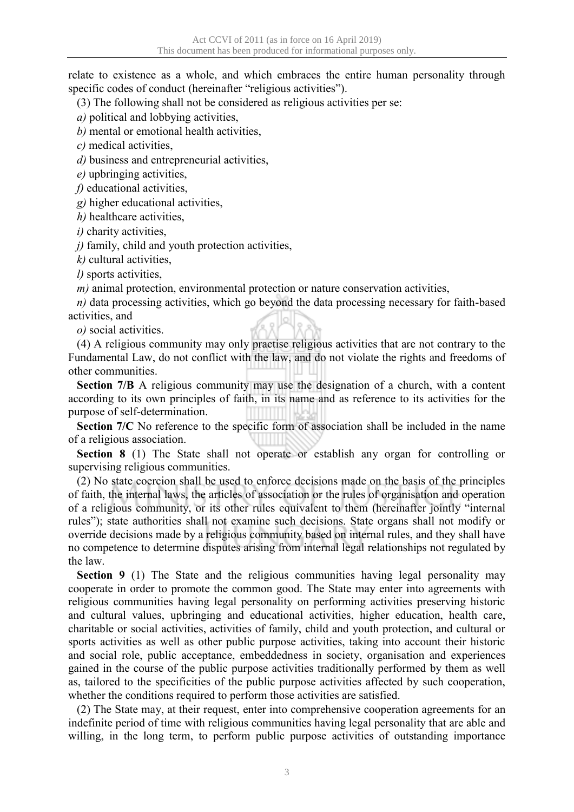relate to existence as a whole, and which embraces the entire human personality through specific codes of conduct (hereinafter "religious activities").

(3) The following shall not be considered as religious activities per se:

*a)* political and lobbying activities,

*b)* mental or emotional health activities,

*c)* medical activities,

*d)* business and entrepreneurial activities,

*e)* upbringing activities,

*f)* educational activities,

*g)* higher educational activities,

*h)* healthcare activities,

*i)* charity activities,

*j)* family, child and youth protection activities,

*k)* cultural activities,

*l)* sports activities,

*m)* animal protection, environmental protection or nature conservation activities,

*n*) data processing activities, which go beyond the data processing necessary for faith-based activities, and

*o)* social activities.

(4) A religious community may only practise religious activities that are not contrary to the Fundamental Law, do not conflict with the law, and do not violate the rights and freedoms of other communities.

**Section 7/B** A religious community may use the designation of a church, with a content according to its own principles of faith, in its name and as reference to its activities for the purpose of self-determination.

Section 7/C No reference to the specific form of association shall be included in the name of a religious association.

**Section 8** (1) The State shall not operate or establish any organ for controlling or supervising religious communities.

(2) No state coercion shall be used to enforce decisions made on the basis of the principles of faith, the internal laws, the articles of association or the rules of organisation and operation of a religious community, or its other rules equivalent to them (hereinafter jointly "internal rules"); state authorities shall not examine such decisions. State organs shall not modify or override decisions made by a religious community based on internal rules, and they shall have no competence to determine disputes arising from internal legal relationships not regulated by the law.

**Section 9** (1) The State and the religious communities having legal personality may cooperate in order to promote the common good. The State may enter into agreements with religious communities having legal personality on performing activities preserving historic and cultural values, upbringing and educational activities, higher education, health care, charitable or social activities, activities of family, child and youth protection, and cultural or sports activities as well as other public purpose activities, taking into account their historic and social role, public acceptance, embeddedness in society, organisation and experiences gained in the course of the public purpose activities traditionally performed by them as well as, tailored to the specificities of the public purpose activities affected by such cooperation, whether the conditions required to perform those activities are satisfied.

(2) The State may, at their request, enter into comprehensive cooperation agreements for an indefinite period of time with religious communities having legal personality that are able and willing, in the long term, to perform public purpose activities of outstanding importance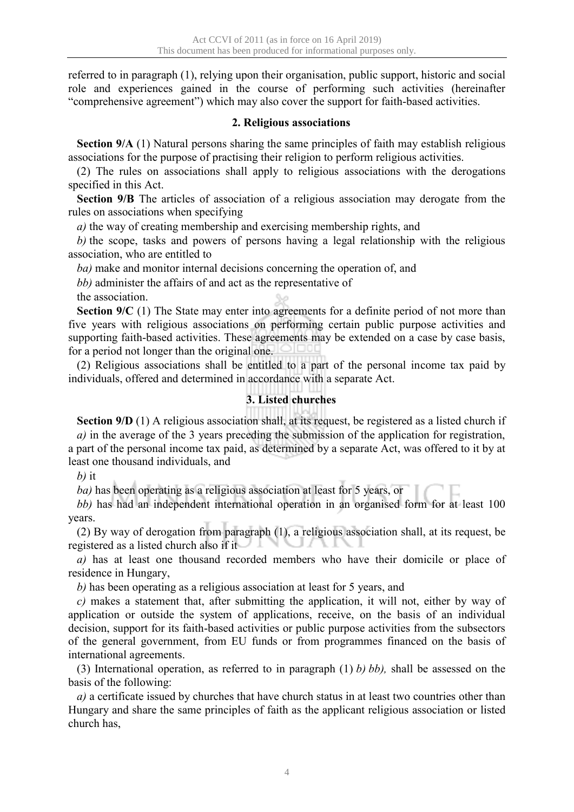referred to in paragraph (1), relying upon their organisation, public support, historic and social role and experiences gained in the course of performing such activities (hereinafter "comprehensive agreement") which may also cover the support for faith-based activities.

## **2. Religious associations**

**Section 9/A** (1) Natural persons sharing the same principles of faith may establish religious associations for the purpose of practising their religion to perform religious activities.

(2) The rules on associations shall apply to religious associations with the derogations specified in this Act.

**Section 9/B** The articles of association of a religious association may derogate from the rules on associations when specifying

*a)* the way of creating membership and exercising membership rights, and

*b)* the scope, tasks and powers of persons having a legal relationship with the religious association, who are entitled to

*ba)* make and monitor internal decisions concerning the operation of, and

*bb)* administer the affairs of and act as the representative of

the association.

**Section 9/C** (1) The State may enter into agreements for a definite period of not more than five years with religious associations on performing certain public purpose activities and supporting faith-based activities. These agreements may be extended on a case by case basis, for a period not longer than the original one.

(2) Religious associations shall be entitled to a part of the personal income tax paid by individuals, offered and determined in accordance with a separate Act.

## **3. Listed churches**

**Section 9/D** (1) A religious association shall, at its request, be registered as a listed church if *a)* in the average of the 3 years preceding the submission of the application for registration, a part of the personal income tax paid, as determined by a separate Act, was offered to it by at least one thousand individuals, and

*b)* it

*ba)* has been operating as a religious association at least for 5 years, or

*bb)* has had an independent international operation in an organised form for at least 100 years.

(2) By way of derogation from paragraph (1), a religious association shall, at its request, be registered as a listed church also if it

*a)* has at least one thousand recorded members who have their domicile or place of residence in Hungary,

*b)* has been operating as a religious association at least for 5 years, and

*c)* makes a statement that, after submitting the application, it will not, either by way of application or outside the system of applications, receive, on the basis of an individual decision, support for its faith-based activities or public purpose activities from the subsectors of the general government, from EU funds or from programmes financed on the basis of international agreements.

(3) International operation, as referred to in paragraph (1) *b) bb),* shall be assessed on the basis of the following:

*a)* a certificate issued by churches that have church status in at least two countries other than Hungary and share the same principles of faith as the applicant religious association or listed church has,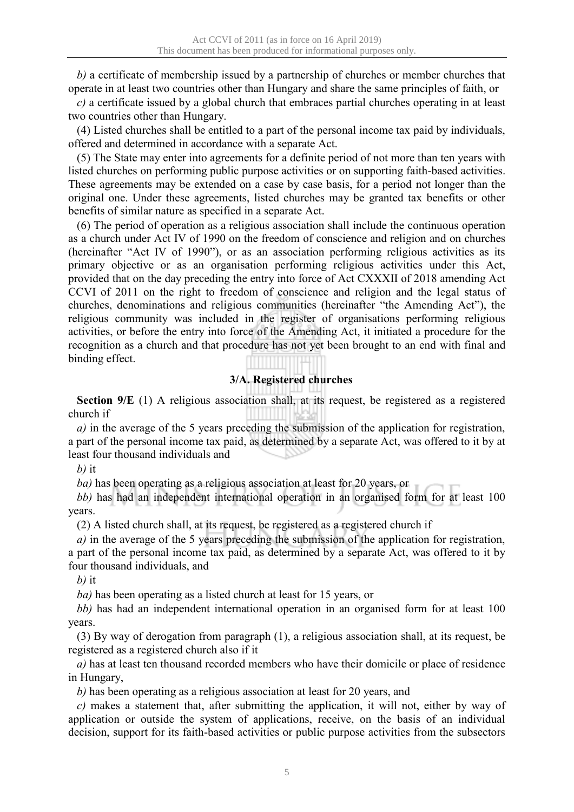*b)* a certificate of membership issued by a partnership of churches or member churches that operate in at least two countries other than Hungary and share the same principles of faith, or

*c)* a certificate issued by a global church that embraces partial churches operating in at least two countries other than Hungary.

(4) Listed churches shall be entitled to a part of the personal income tax paid by individuals, offered and determined in accordance with a separate Act.

(5) The State may enter into agreements for a definite period of not more than ten years with listed churches on performing public purpose activities or on supporting faith-based activities. These agreements may be extended on a case by case basis, for a period not longer than the original one. Under these agreements, listed churches may be granted tax benefits or other benefits of similar nature as specified in a separate Act.

(6) The period of operation as a religious association shall include the continuous operation as a church under Act IV of 1990 on the freedom of conscience and religion and on churches (hereinafter "Act IV of 1990"), or as an association performing religious activities as its primary objective or as an organisation performing religious activities under this Act, provided that on the day preceding the entry into force of Act CXXXII of 2018 amending Act CCVI of 2011 on the right to freedom of conscience and religion and the legal status of churches, denominations and religious communities (hereinafter "the Amending Act"), the religious community was included in the register of organisations performing religious activities, or before the entry into force of the Amending Act, it initiated a procedure for the recognition as a church and that procedure has not yet been brought to an end with final and binding effect.

# **3/A. Registered churches**

**Section 9/E** (1) A religious association shall, at its request, be registered as a registered church if

*a)* in the average of the 5 years preceding the submission of the application for registration, a part of the personal income tax paid, as determined by a separate Act, was offered to it by at least four thousand individuals and

*b)* it

*ba)* has been operating as a religious association at least for 20 years, or

*bb)* has had an independent international operation in an organised form for at least 100 years.

(2) A listed church shall, at its request, be registered as a registered church if

*a)* in the average of the 5 years preceding the submission of the application for registration, a part of the personal income tax paid, as determined by a separate Act, was offered to it by four thousand individuals, and

*b)* it

*ba)* has been operating as a listed church at least for 15 years, or

*bb)* has had an independent international operation in an organised form for at least 100 years.

(3) By way of derogation from paragraph (1), a religious association shall, at its request, be registered as a registered church also if it

*a)* has at least ten thousand recorded members who have their domicile or place of residence in Hungary,

*b)* has been operating as a religious association at least for 20 years, and

*c)* makes a statement that, after submitting the application, it will not, either by way of application or outside the system of applications, receive, on the basis of an individual decision, support for its faith-based activities or public purpose activities from the subsectors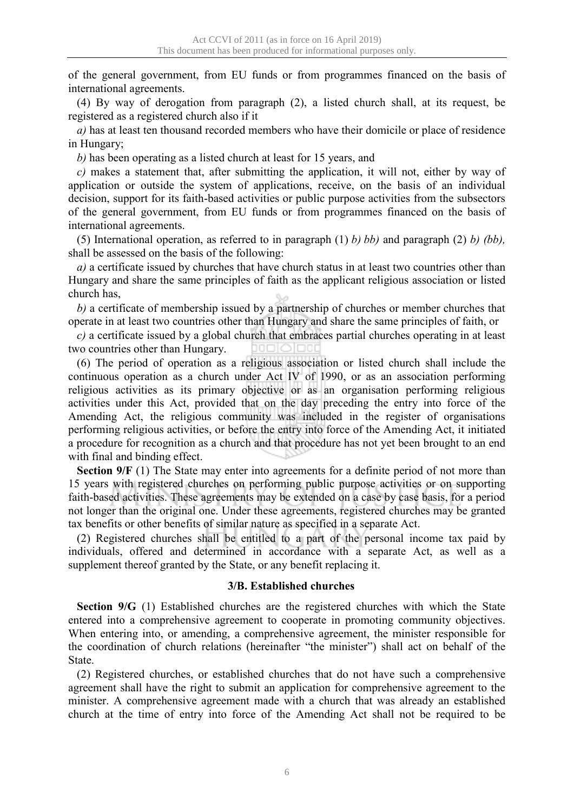of the general government, from EU funds or from programmes financed on the basis of international agreements.

(4) By way of derogation from paragraph (2), a listed church shall, at its request, be registered as a registered church also if it

*a)* has at least ten thousand recorded members who have their domicile or place of residence in Hungary;

*b)* has been operating as a listed church at least for 15 years, and

*c)* makes a statement that, after submitting the application, it will not, either by way of application or outside the system of applications, receive, on the basis of an individual decision, support for its faith-based activities or public purpose activities from the subsectors of the general government, from EU funds or from programmes financed on the basis of international agreements.

(5) International operation, as referred to in paragraph (1) *b) bb)* and paragraph (2) *b) (bb),* shall be assessed on the basis of the following:

*a*) a certificate issued by churches that have church status in at least two countries other than Hungary and share the same principles of faith as the applicant religious association or listed church has,

*b)* a certificate of membership issued by a partnership of churches or member churches that operate in at least two countries other than Hungary and share the same principles of faith, or

*c)* a certificate issued by a global church that embraces partial churches operating in at least two countries other than Hungary. ao dik

(6) The period of operation as a religious association or listed church shall include the continuous operation as a church under Act IV of 1990, or as an association performing religious activities as its primary objective or as an organisation performing religious activities under this Act, provided that on the day preceding the entry into force of the Amending Act, the religious community was included in the register of organisations performing religious activities, or before the entry into force of the Amending Act, it initiated a procedure for recognition as a church and that procedure has not yet been brought to an end with final and binding effect.

**Section 9/F** (1) The State may enter into agreements for a definite period of not more than 15 years with registered churches on performing public purpose activities or on supporting faith-based activities. These agreements may be extended on a case by case basis, for a period not longer than the original one. Under these agreements, registered churches may be granted tax benefits or other benefits of similar nature as specified in a separate Act.

(2) Registered churches shall be entitled to a part of the personal income tax paid by individuals, offered and determined in accordance with a separate Act, as well as a supplement thereof granted by the State, or any benefit replacing it.

#### **3/B. Established churches**

**Section 9/G** (1) Established churches are the registered churches with which the State entered into a comprehensive agreement to cooperate in promoting community objectives. When entering into, or amending, a comprehensive agreement, the minister responsible for the coordination of church relations (hereinafter "the minister") shall act on behalf of the State.

(2) Registered churches, or established churches that do not have such a comprehensive agreement shall have the right to submit an application for comprehensive agreement to the minister. A comprehensive agreement made with a church that was already an established church at the time of entry into force of the Amending Act shall not be required to be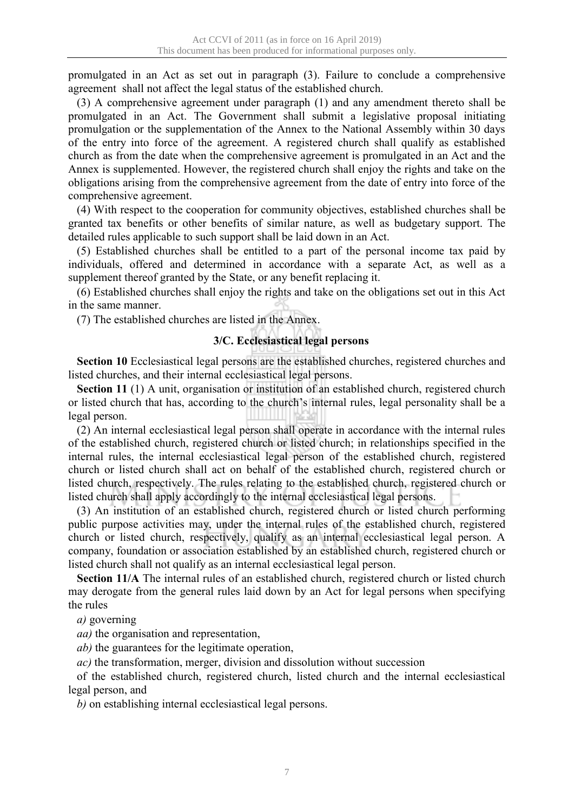promulgated in an Act as set out in paragraph (3). Failure to conclude a comprehensive agreement shall not affect the legal status of the established church.

(3) A comprehensive agreement under paragraph (1) and any amendment thereto shall be promulgated in an Act. The Government shall submit a legislative proposal initiating promulgation or the supplementation of the Annex to the National Assembly within 30 days of the entry into force of the agreement. A registered church shall qualify as established church as from the date when the comprehensive agreement is promulgated in an Act and the Annex is supplemented. However, the registered church shall enjoy the rights and take on the obligations arising from the comprehensive agreement from the date of entry into force of the comprehensive agreement.

(4) With respect to the cooperation for community objectives, established churches shall be granted tax benefits or other benefits of similar nature, as well as budgetary support. The detailed rules applicable to such support shall be laid down in an Act.

(5) Established churches shall be entitled to a part of the personal income tax paid by individuals, offered and determined in accordance with a separate Act, as well as a supplement thereof granted by the State, or any benefit replacing it.

(6) Established churches shall enjoy the rights and take on the obligations set out in this Act in the same manner.

(7) The established churches are listed in the Annex.

## **3/C. Ecclesiastical legal persons**

**Section 10** Ecclesiastical legal persons are the established churches, registered churches and listed churches, and their internal ecclesiastical legal persons.

**Section 11** (1) A unit, organisation or institution of an established church, registered church or listed church that has, according to the church's internal rules, legal personality shall be a legal person.

(2) An internal ecclesiastical legal person shall operate in accordance with the internal rules of the established church, registered church or listed church; in relationships specified in the internal rules, the internal ecclesiastical legal person of the established church, registered church or listed church shall act on behalf of the established church, registered church or listed church, respectively. The rules relating to the established church, registered church or listed church shall apply accordingly to the internal ecclesiastical legal persons.

(3) An institution of an established church, registered church or listed church performing public purpose activities may, under the internal rules of the established church, registered church or listed church, respectively, qualify as an internal ecclesiastical legal person. A company, foundation or association established by an established church, registered church or listed church shall not qualify as an internal ecclesiastical legal person.

**Section 11/A** The internal rules of an established church, registered church or listed church may derogate from the general rules laid down by an Act for legal persons when specifying the rules

*a)* governing

*aa)* the organisation and representation,

*ab)* the guarantees for the legitimate operation,

*ac)* the transformation, merger, division and dissolution without succession

of the established church, registered church, listed church and the internal ecclesiastical legal person, and

*b)* on establishing internal ecclesiastical legal persons.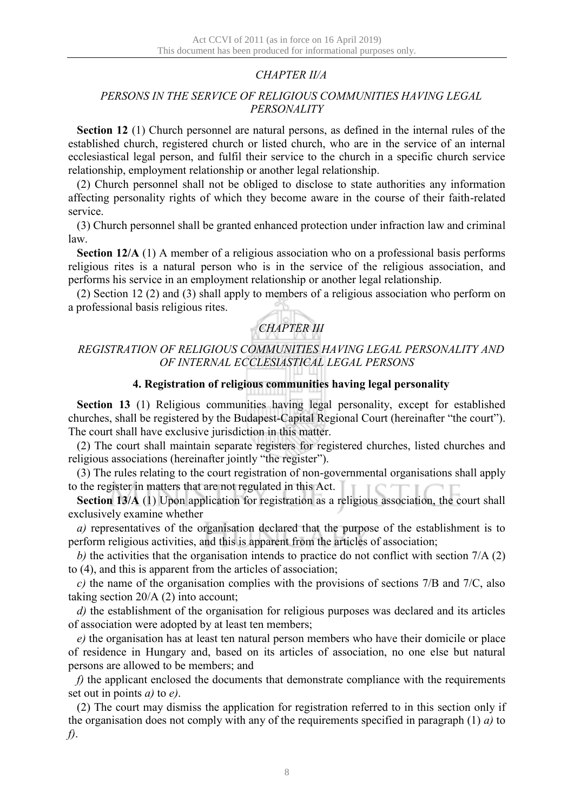## *CHAPTER II/A*

## *PERSONS IN THE SERVICE OF RELIGIOUS COMMUNITIES HAVING LEGAL PERSONALITY*

**Section 12** (1) Church personnel are natural persons, as defined in the internal rules of the established church, registered church or listed church, who are in the service of an internal ecclesiastical legal person, and fulfil their service to the church in a specific church service relationship, employment relationship or another legal relationship.

(2) Church personnel shall not be obliged to disclose to state authorities any information affecting personality rights of which they become aware in the course of their faith-related service.

(3) Church personnel shall be granted enhanced protection under infraction law and criminal law.

**Section 12/A** (1) A member of a religious association who on a professional basis performs religious rites is a natural person who is in the service of the religious association, and performs his service in an employment relationship or another legal relationship.

(2) Section 12 (2) and (3) shall apply to members of a religious association who perform on a professional basis religious rites.

# *CHAPTER III*

## *REGISTRATION OF RELIGIOUS COMMUNITIES HAVING LEGAL PERSONALITY AND OF INTERNAL ECCLESIASTICAL LEGAL PERSONS*

## **4. Registration of religious communities having legal personality**

**Section 13** (1) Religious communities having legal personality, except for established churches, shall be registered by the Budapest-Capital Regional Court (hereinafter "the court"). The court shall have exclusive jurisdiction in this matter.

(2) The court shall maintain separate registers for registered churches, listed churches and religious associations (hereinafter jointly "the register").

(3) The rules relating to the court registration of non-governmental organisations shall apply to the register in matters that are not regulated in this Act.

**Section 13/A** (1) Upon application for registration as a religious association, the court shall exclusively examine whether

*a)* representatives of the organisation declared that the purpose of the establishment is to perform religious activities, and this is apparent from the articles of association;

*b)* the activities that the organisation intends to practice do not conflict with section 7/A (2) to (4), and this is apparent from the articles of association;

*c)* the name of the organisation complies with the provisions of sections 7/B and 7/C, also taking section 20/A (2) into account;

*d)* the establishment of the organisation for religious purposes was declared and its articles of association were adopted by at least ten members;

*e)* the organisation has at least ten natural person members who have their domicile or place of residence in Hungary and, based on its articles of association, no one else but natural persons are allowed to be members; and

*f*) the applicant enclosed the documents that demonstrate compliance with the requirements set out in points *a)* to *e)*.

(2) The court may dismiss the application for registration referred to in this section only if the organisation does not comply with any of the requirements specified in paragraph (1) *a)* to *f)*.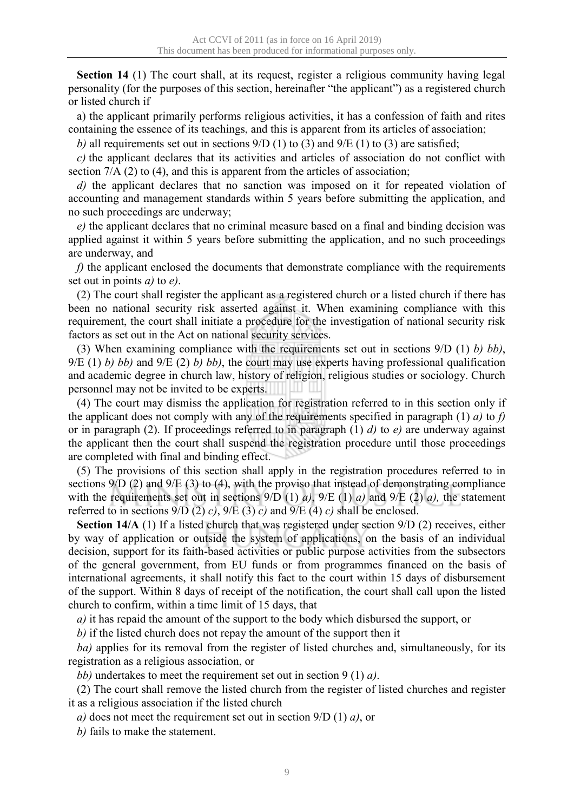**Section 14** (1) The court shall, at its request, register a religious community having legal personality (for the purposes of this section, hereinafter "the applicant") as a registered church or listed church if

a) the applicant primarily performs religious activities, it has a confession of faith and rites containing the essence of its teachings, and this is apparent from its articles of association;

*b*) all requirements set out in sections  $9/D(1)$  to (3) and  $9/E(1)$  to (3) are satisfied;

*c)* the applicant declares that its activities and articles of association do not conflict with section  $7/A$  (2) to (4), and this is apparent from the articles of association;

*d)* the applicant declares that no sanction was imposed on it for repeated violation of accounting and management standards within 5 years before submitting the application, and no such proceedings are underway;

*e)* the applicant declares that no criminal measure based on a final and binding decision was applied against it within 5 years before submitting the application, and no such proceedings are underway, and

*f*) the applicant enclosed the documents that demonstrate compliance with the requirements set out in points *a)* to *e)*.

(2) The court shall register the applicant as a registered church or a listed church if there has been no national security risk asserted against it. When examining compliance with this requirement, the court shall initiate a procedure for the investigation of national security risk factors as set out in the Act on national security services.

(3) When examining compliance with the requirements set out in sections 9/D (1) *b) bb)*, 9/E (1) *b) bb)* and 9/E (2) *b) bb)*, the court may use experts having professional qualification and academic degree in church law, history of religion, religious studies or sociology. Church personnel may not be invited to be experts.

(4) The court may dismiss the application for registration referred to in this section only if the applicant does not comply with any of the requirements specified in paragraph (1) *a)* to *f)* or in paragraph (2). If proceedings referred to in paragraph (1) *d)* to *e)* are underway against the applicant then the court shall suspend the registration procedure until those proceedings are completed with final and binding effect.

(5) The provisions of this section shall apply in the registration procedures referred to in sections 9/D (2) and 9/E (3) to (4), with the proviso that instead of demonstrating compliance with the requirements set out in sections 9/D (1) *a)*, 9/E (1) *a)* and 9/E (2) *a),* the statement referred to in sections  $9/D(2) c$ ,  $9/E(3) c$  and  $9/E(4) c$  shall be enclosed.

**Section 14/A** (1) If a listed church that was registered under section 9/D (2) receives, either by way of application or outside the system of applications, on the basis of an individual decision, support for its faith-based activities or public purpose activities from the subsectors of the general government, from EU funds or from programmes financed on the basis of international agreements, it shall notify this fact to the court within 15 days of disbursement of the support. Within 8 days of receipt of the notification, the court shall call upon the listed church to confirm, within a time limit of 15 days, that

*a)* it has repaid the amount of the support to the body which disbursed the support, or

*b)* if the listed church does not repay the amount of the support then it

*ba)* applies for its removal from the register of listed churches and, simultaneously, for its registration as a religious association, or

*bb)* undertakes to meet the requirement set out in section 9 (1) *a)*.

(2) The court shall remove the listed church from the register of listed churches and register it as a religious association if the listed church

*a)* does not meet the requirement set out in section 9/D (1) *a)*, or

*b)* fails to make the statement.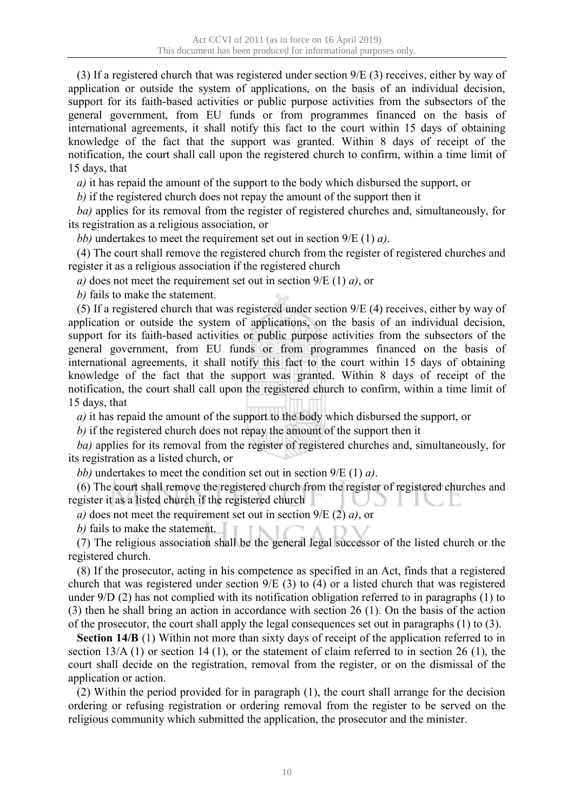(3) If a registered church that was registered under section 9/E (3) receives, either by way of application or outside the system of applications, on the basis of an individual decision, support for its faith-based activities or public purpose activities from the subsectors of the general government, from EU funds or from programmes financed on the basis of international agreements, it shall notify this fact to the court within 15 days of obtaining knowledge of the fact that the support was granted. Within 8 days of receipt of the notification, the court shall call upon the registered church to confirm, within a time limit of 15 days, that

*a)* it has repaid the amount of the support to the body which disbursed the support, or

*b)* if the registered church does not repay the amount of the support then it

*ba)* applies for its removal from the register of registered churches and, simultaneously, for its registration as a religious association, or

*bb)* undertakes to meet the requirement set out in section 9/E (1) *a)*.

(4) The court shall remove the registered church from the register of registered churches and register it as a religious association if the registered church

*a)* does not meet the requirement set out in section 9/E (1) *a)*, or

*b)* fails to make the statement.

(5) If a registered church that was registered under section 9/E (4) receives, either by way of application or outside the system of applications, on the basis of an individual decision, support for its faith-based activities or public purpose activities from the subsectors of the general government, from EU funds or from programmes financed on the basis of international agreements, it shall notify this fact to the court within 15 days of obtaining knowledge of the fact that the support was granted. Within 8 days of receipt of the notification, the court shall call upon the registered church to confirm, within a time limit of 15 days, that

*a)* it has repaid the amount of the support to the body which disbursed the support, or

*b)* if the registered church does not repay the amount of the support then it

*ba)* applies for its removal from the register of registered churches and, simultaneously, for its registration as a listed church, or

*bb)* undertakes to meet the condition set out in section 9/E (1) *a)*.

(6) The court shall remove the registered church from the register of registered churches and register it as a listed church if the registered church

*a)* does not meet the requirement set out in section 9/E (2) *a)*, or

*b*) fails to make the statement.

(7) The religious association shall be the general legal successor of the listed church or the registered church.

(8) If the prosecutor, acting in his competence as specified in an Act, finds that a registered church that was registered under section 9/E (3) to (4) or a listed church that was registered under 9/D (2) has not complied with its notification obligation referred to in paragraphs (1) to (3) then he shall bring an action in accordance with section 26 (1). On the basis of the action of the prosecutor, the court shall apply the legal consequences set out in paragraphs (1) to (3).

**Section 14/B** (1) Within not more than sixty days of receipt of the application referred to in section 13/A (1) or section 14 (1), or the statement of claim referred to in section 26 (1), the court shall decide on the registration, removal from the register, or on the dismissal of the application or action.

(2) Within the period provided for in paragraph (1), the court shall arrange for the decision ordering or refusing registration or ordering removal from the register to be served on the religious community which submitted the application, the prosecutor and the minister.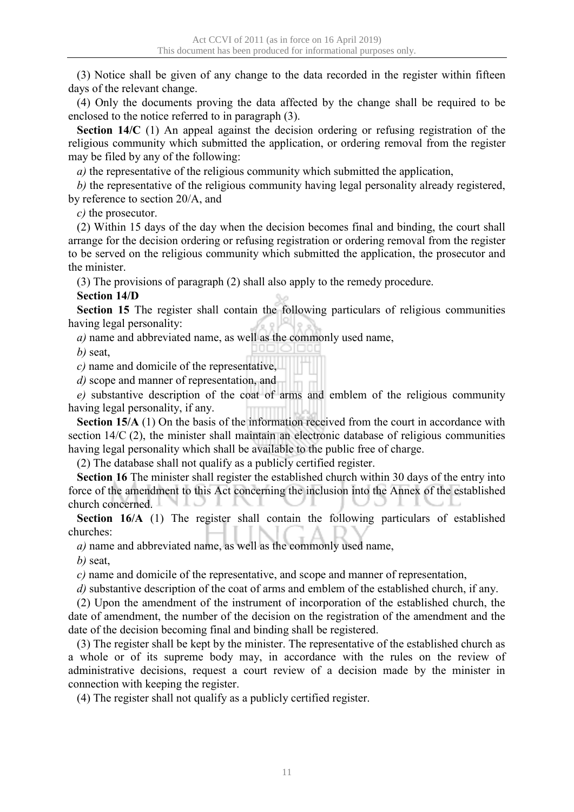(3) Notice shall be given of any change to the data recorded in the register within fifteen days of the relevant change.

(4) Only the documents proving the data affected by the change shall be required to be enclosed to the notice referred to in paragraph (3).

**Section 14/C** (1) An appeal against the decision ordering or refusing registration of the religious community which submitted the application, or ordering removal from the register may be filed by any of the following:

*a)* the representative of the religious community which submitted the application,

*b)* the representative of the religious community having legal personality already registered, by reference to section 20/A, and

*c)* the prosecutor.

(2) Within 15 days of the day when the decision becomes final and binding, the court shall arrange for the decision ordering or refusing registration or ordering removal from the register to be served on the religious community which submitted the application, the prosecutor and the minister.

(3) The provisions of paragraph (2) shall also apply to the remedy procedure.

## **Section 14/D**

**Section 15** The register shall contain the following particulars of religious communities having legal personality:

*a)* name and abbreviated name, as well as the commonly used name,

*b)* seat,

*c)* name and domicile of the representative,

*d)* scope and manner of representation, and

*e)* substantive description of the coat of arms and emblem of the religious community having legal personality, if any.

**Section 15/A** (1) On the basis of the information received from the court in accordance with section 14/C (2), the minister shall maintain an electronic database of religious communities having legal personality which shall be available to the public free of charge.

(2) The database shall not qualify as a publicly certified register.

**Section 16** The minister shall register the established church within 30 days of the entry into force of the amendment to this Act concerning the inclusion into the Annex of the established church concerned. NID

**Section 16/A** (1) The register shall contain the following particulars of established churches:

*a)* name and abbreviated name, as well as the commonly used name,

*b)* seat,

*c)* name and domicile of the representative, and scope and manner of representation,

*d)* substantive description of the coat of arms and emblem of the established church, if any.

(2) Upon the amendment of the instrument of incorporation of the established church, the date of amendment, the number of the decision on the registration of the amendment and the date of the decision becoming final and binding shall be registered.

(3) The register shall be kept by the minister. The representative of the established church as a whole or of its supreme body may, in accordance with the rules on the review of administrative decisions, request a court review of a decision made by the minister in connection with keeping the register.

(4) The register shall not qualify as a publicly certified register.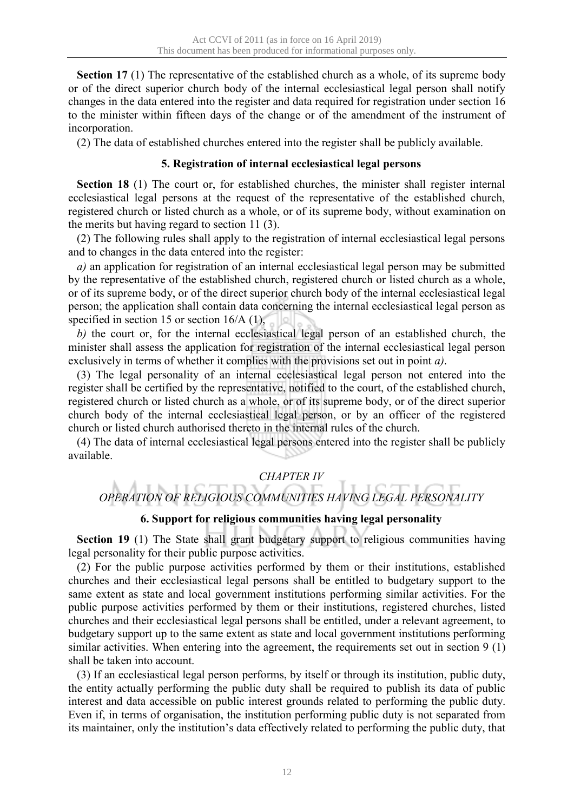**Section 17** (1) The representative of the established church as a whole, of its supreme body or of the direct superior church body of the internal ecclesiastical legal person shall notify changes in the data entered into the register and data required for registration under section 16 to the minister within fifteen days of the change or of the amendment of the instrument of incorporation.

(2) The data of established churches entered into the register shall be publicly available.

## **5. Registration of internal ecclesiastical legal persons**

**Section 18** (1) The court or, for established churches, the minister shall register internal ecclesiastical legal persons at the request of the representative of the established church, registered church or listed church as a whole, or of its supreme body, without examination on the merits but having regard to section 11 (3).

(2) The following rules shall apply to the registration of internal ecclesiastical legal persons and to changes in the data entered into the register:

*a)* an application for registration of an internal ecclesiastical legal person may be submitted by the representative of the established church, registered church or listed church as a whole, or of its supreme body, or of the direct superior church body of the internal ecclesiastical legal person; the application shall contain data concerning the internal ecclesiastical legal person as specified in section 15 or section 16/A (1),

*b)* the court or, for the internal ecclesiastical legal person of an established church, the minister shall assess the application for registration of the internal ecclesiastical legal person exclusively in terms of whether it complies with the provisions set out in point *a)*.

(3) The legal personality of an internal ecclesiastical legal person not entered into the register shall be certified by the representative, notified to the court, of the established church, registered church or listed church as a whole, or of its supreme body, or of the direct superior church body of the internal ecclesiastical legal person, or by an officer of the registered church or listed church authorised thereto in the internal rules of the church.

(4) The data of internal ecclesiastical legal persons entered into the register shall be publicly available.

## *CHAPTER IV*

# *OPERATION OF RELIGIOUS COMMUNITIES HAVING LEGAL PERSONALITY*

## **6. Support for religious communities having legal personality**

**Section 19** (1) The State shall grant budgetary support to religious communities having legal personality for their public purpose activities.

(2) For the public purpose activities performed by them or their institutions, established churches and their ecclesiastical legal persons shall be entitled to budgetary support to the same extent as state and local government institutions performing similar activities. For the public purpose activities performed by them or their institutions, registered churches, listed churches and their ecclesiastical legal persons shall be entitled, under a relevant agreement, to budgetary support up to the same extent as state and local government institutions performing similar activities. When entering into the agreement, the requirements set out in section 9 (1) shall be taken into account.

(3) If an ecclesiastical legal person performs, by itself or through its institution, public duty, the entity actually performing the public duty shall be required to publish its data of public interest and data accessible on public interest grounds related to performing the public duty. Even if, in terms of organisation, the institution performing public duty is not separated from its maintainer, only the institution's data effectively related to performing the public duty, that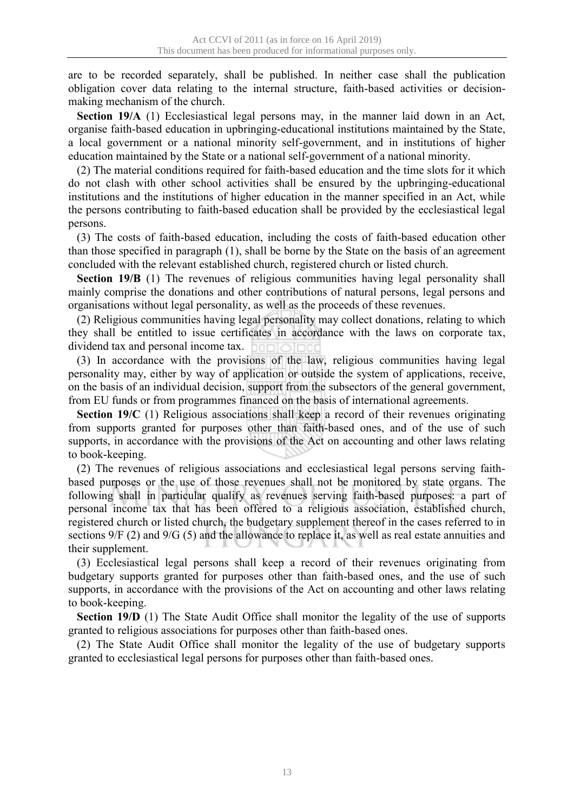are to be recorded separately, shall be published. In neither case shall the publication obligation cover data relating to the internal structure, faith-based activities or decisionmaking mechanism of the church.

**Section 19/A** (1) Ecclesiastical legal persons may, in the manner laid down in an Act, organise faith-based education in upbringing-educational institutions maintained by the State, a local government or a national minority self-government, and in institutions of higher education maintained by the State or a national self-government of a national minority.

(2) The material conditions required for faith-based education and the time slots for it which do not clash with other school activities shall be ensured by the upbringing-educational institutions and the institutions of higher education in the manner specified in an Act, while the persons contributing to faith-based education shall be provided by the ecclesiastical legal persons.

(3) The costs of faith-based education, including the costs of faith-based education other than those specified in paragraph (1), shall be borne by the State on the basis of an agreement concluded with the relevant established church, registered church or listed church.

**Section 19/B** (1) The revenues of religious communities having legal personality shall mainly comprise the donations and other contributions of natural persons, legal persons and organisations without legal personality, as well as the proceeds of these revenues.

(2) Religious communities having legal personality may collect donations, relating to which they shall be entitled to issue certificates in accordance with the laws on corporate tax, dividend tax and personal income tax. 10 C I

(3) In accordance with the provisions of the law, religious communities having legal personality may, either by way of application or outside the system of applications, receive, on the basis of an individual decision, support from the subsectors of the general government, from EU funds or from programmes financed on the basis of international agreements.

**Section 19/C** (1) Religious associations shall keep a record of their revenues originating from supports granted for purposes other than faith-based ones, and of the use of such supports, in accordance with the provisions of the Act on accounting and other laws relating to book-keeping.

(2) The revenues of religious associations and ecclesiastical legal persons serving faithbased purposes or the use of those revenues shall not be monitored by state organs. The following shall in particular qualify as revenues serving faith-based purposes: a part of personal income tax that has been offered to a religious association, established church, registered church or listed church, the budgetary supplement thereof in the cases referred to in sections 9/F (2) and 9/G (5) and the allowance to replace it, as well as real estate annuities and their supplement.

(3) Ecclesiastical legal persons shall keep a record of their revenues originating from budgetary supports granted for purposes other than faith-based ones, and the use of such supports, in accordance with the provisions of the Act on accounting and other laws relating to book-keeping.

**Section 19/D** (1) The State Audit Office shall monitor the legality of the use of supports granted to religious associations for purposes other than faith-based ones.

(2) The State Audit Office shall monitor the legality of the use of budgetary supports granted to ecclesiastical legal persons for purposes other than faith-based ones.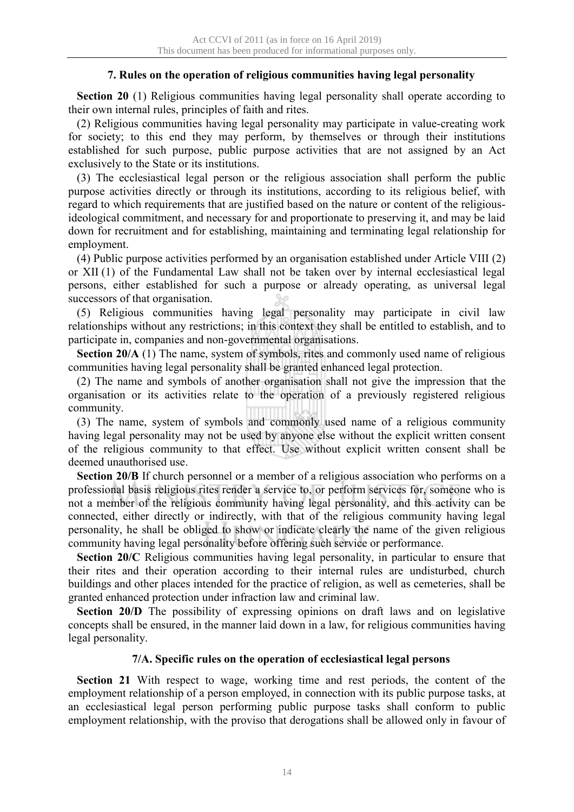## **7. Rules on the operation of religious communities having legal personality**

**Section 20** (1) Religious communities having legal personality shall operate according to their own internal rules, principles of faith and rites.

(2) Religious communities having legal personality may participate in value-creating work for society; to this end they may perform, by themselves or through their institutions established for such purpose, public purpose activities that are not assigned by an Act exclusively to the State or its institutions.

(3) The ecclesiastical legal person or the religious association shall perform the public purpose activities directly or through its institutions, according to its religious belief, with regard to which requirements that are justified based on the nature or content of the religiousideological commitment, and necessary for and proportionate to preserving it, and may be laid down for recruitment and for establishing, maintaining and terminating legal relationship for employment.

(4) Public purpose activities performed by an organisation established under Article VIII (2) or XII (1) of the Fundamental Law shall not be taken over by internal ecclesiastical legal persons, either established for such a purpose or already operating, as universal legal successors of that organisation.

(5) Religious communities having legal personality may participate in civil law relationships without any restrictions; in this context they shall be entitled to establish, and to participate in, companies and non-governmental organisations.

**Section 20/A** (1) The name, system of symbols, rites and commonly used name of religious communities having legal personality shall be granted enhanced legal protection.

(2) The name and symbols of another organisation shall not give the impression that the organisation or its activities relate to the operation of a previously registered religious community.

(3) The name, system of symbols and commonly used name of a religious community having legal personality may not be used by anyone else without the explicit written consent of the religious community to that effect. Use without explicit written consent shall be deemed unauthorised use.

**Section 20/B** If church personnel or a member of a religious association who performs on a professional basis religious rites render a service to, or perform services for, someone who is not a member of the religious community having legal personality, and this activity can be connected, either directly or indirectly, with that of the religious community having legal personality, he shall be obliged to show or indicate clearly the name of the given religious community having legal personality before offering such service or performance.

**Section 20/C** Religious communities having legal personality, in particular to ensure that their rites and their operation according to their internal rules are undisturbed, church buildings and other places intended for the practice of religion, as well as cemeteries, shall be granted enhanced protection under infraction law and criminal law.

**Section 20/D** The possibility of expressing opinions on draft laws and on legislative concepts shall be ensured, in the manner laid down in a law, for religious communities having legal personality.

## **7/A. Specific rules on the operation of ecclesiastical legal persons**

**Section 21** With respect to wage, working time and rest periods, the content of the employment relationship of a person employed, in connection with its public purpose tasks, at an ecclesiastical legal person performing public purpose tasks shall conform to public employment relationship, with the proviso that derogations shall be allowed only in favour of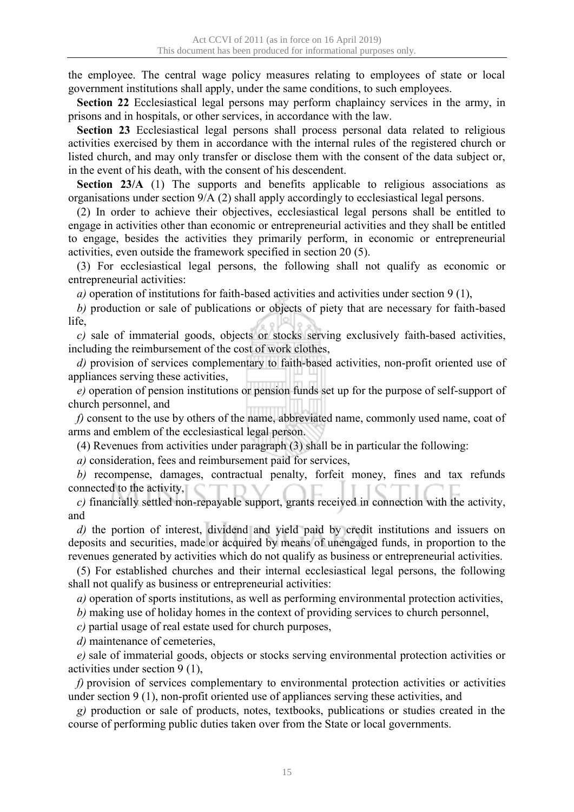the employee. The central wage policy measures relating to employees of state or local government institutions shall apply, under the same conditions, to such employees.

**Section 22** Ecclesiastical legal persons may perform chaplaincy services in the army, in prisons and in hospitals, or other services, in accordance with the law.

**Section 23** Ecclesiastical legal persons shall process personal data related to religious activities exercised by them in accordance with the internal rules of the registered church or listed church, and may only transfer or disclose them with the consent of the data subject or, in the event of his death, with the consent of his descendent.

**Section 23/A** (1) The supports and benefits applicable to religious associations as organisations under section 9/A (2) shall apply accordingly to ecclesiastical legal persons.

(2) In order to achieve their objectives, ecclesiastical legal persons shall be entitled to engage in activities other than economic or entrepreneurial activities and they shall be entitled to engage, besides the activities they primarily perform, in economic or entrepreneurial activities, even outside the framework specified in section 20 (5).

(3) For ecclesiastical legal persons, the following shall not qualify as economic or entrepreneurial activities:

*a)* operation of institutions for faith-based activities and activities under section 9 (1),

*b)* production or sale of publications or objects of piety that are necessary for faith-based life,

*c)* sale of immaterial goods, objects or stocks serving exclusively faith-based activities, including the reimbursement of the cost of work clothes,

*d)* provision of services complementary to faith-based activities, non-profit oriented use of appliances serving these activities,

*e)* operation of pension institutions or pension funds set up for the purpose of self-support of church personnel, and

*f)* consent to the use by others of the name, abbreviated name, commonly used name, coat of arms and emblem of the ecclesiastical legal person.

(4) Revenues from activities under paragraph (3) shall be in particular the following:

*a)* consideration, fees and reimbursement paid for services,

*b)* recompense, damages, contractual penalty, forfeit money, fines and tax refunds connected to the activity,

*c)* financially settled non-repayable support, grants received in connection with the activity, and

*d)* the portion of interest, dividend and yield paid by credit institutions and issuers on deposits and securities, made or acquired by means of unengaged funds, in proportion to the revenues generated by activities which do not qualify as business or entrepreneurial activities.

(5) For established churches and their internal ecclesiastical legal persons, the following shall not qualify as business or entrepreneurial activities:

*a)* operation of sports institutions, as well as performing environmental protection activities,

*b)* making use of holiday homes in the context of providing services to church personnel,

*c)* partial usage of real estate used for church purposes,

*d)* maintenance of cemeteries,

*e)* sale of immaterial goods, objects or stocks serving environmental protection activities or activities under section 9 (1),

*f)* provision of services complementary to environmental protection activities or activities under section 9 (1), non-profit oriented use of appliances serving these activities, and

*g)* production or sale of products, notes, textbooks, publications or studies created in the course of performing public duties taken over from the State or local governments.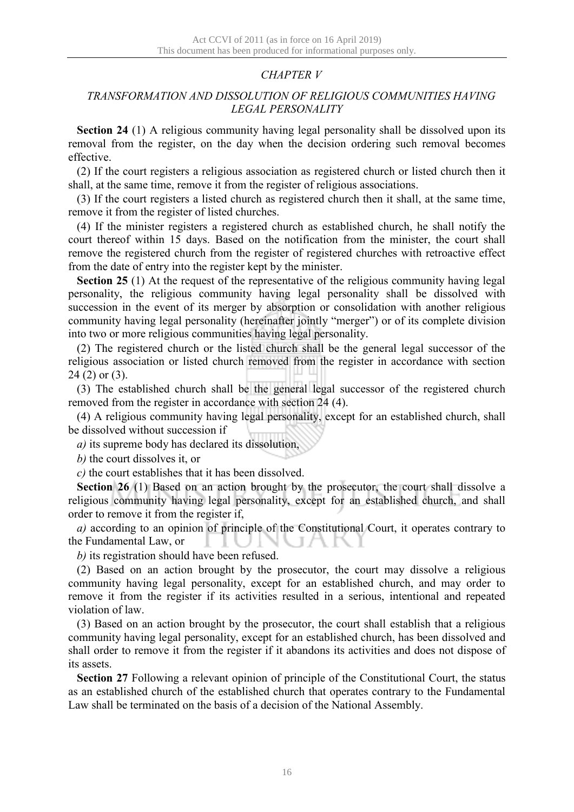# *CHAPTER V*

## *TRANSFORMATION AND DISSOLUTION OF RELIGIOUS COMMUNITIES HAVING LEGAL PERSONALITY*

**Section 24** (1) A religious community having legal personality shall be dissolved upon its removal from the register, on the day when the decision ordering such removal becomes effective.

(2) If the court registers a religious association as registered church or listed church then it shall, at the same time, remove it from the register of religious associations.

(3) If the court registers a listed church as registered church then it shall, at the same time, remove it from the register of listed churches.

(4) If the minister registers a registered church as established church, he shall notify the court thereof within 15 days. Based on the notification from the minister, the court shall remove the registered church from the register of registered churches with retroactive effect from the date of entry into the register kept by the minister.

**Section 25** (1) At the request of the representative of the religious community having legal personality, the religious community having legal personality shall be dissolved with succession in the event of its merger by absorption or consolidation with another religious community having legal personality (hereinafter jointly "merger") or of its complete division into two or more religious communities having legal personality.

(2) The registered church or the listed church shall be the general legal successor of the religious association or listed church removed from the register in accordance with section 24 (2) or (3).

(3) The established church shall be the general legal successor of the registered church removed from the register in accordance with section 24 (4).

(4) A religious community having legal personality, except for an established church, shall be dissolved without succession if

*a)* its supreme body has declared its dissolution,

*b)* the court dissolves it, or

*c)* the court establishes that it has been dissolved.

**Section 26** (1) Based on an action brought by the prosecutor, the court shall dissolve a religious community having legal personality, except for an established church, and shall order to remove it from the register if,

*a)* according to an opinion of principle of the Constitutional Court, it operates contrary to the Fundamental Law, or

*b)* its registration should have been refused.

(2) Based on an action brought by the prosecutor, the court may dissolve a religious community having legal personality, except for an established church, and may order to remove it from the register if its activities resulted in a serious, intentional and repeated violation of law.

(3) Based on an action brought by the prosecutor, the court shall establish that a religious community having legal personality, except for an established church, has been dissolved and shall order to remove it from the register if it abandons its activities and does not dispose of its assets.

**Section 27** Following a relevant opinion of principle of the Constitutional Court, the status as an established church of the established church that operates contrary to the Fundamental Law shall be terminated on the basis of a decision of the National Assembly.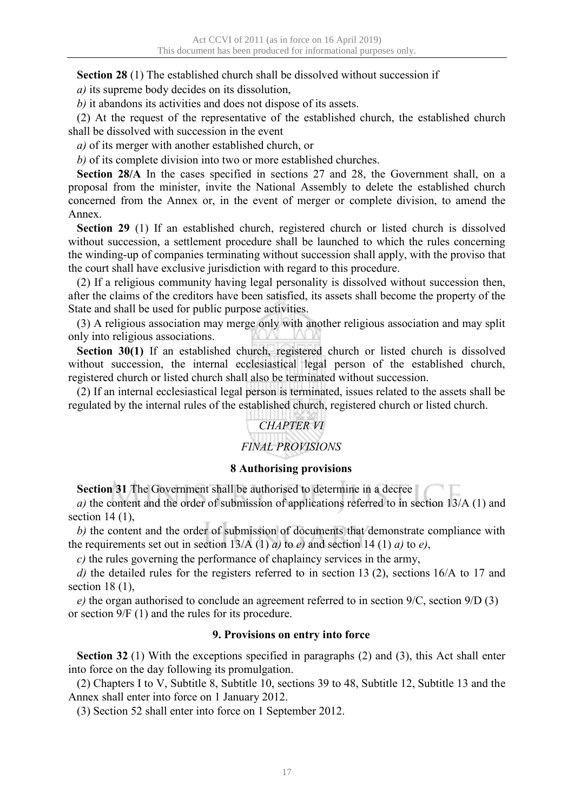**Section 28** (1) The established church shall be dissolved without succession if

*a)* its supreme body decides on its dissolution,

*b)* it abandons its activities and does not dispose of its assets.

(2) At the request of the representative of the established church, the established church shall be dissolved with succession in the event

*a)* of its merger with another established church, or

*b)* of its complete division into two or more established churches.

**Section 28/A** In the cases specified in sections 27 and 28, the Government shall, on a proposal from the minister, invite the National Assembly to delete the established church concerned from the Annex or, in the event of merger or complete division, to amend the Annex.

**Section 29** (1) If an established church, registered church or listed church is dissolved without succession, a settlement procedure shall be launched to which the rules concerning the winding-up of companies terminating without succession shall apply, with the proviso that the court shall have exclusive jurisdiction with regard to this procedure.

(2) If a religious community having legal personality is dissolved without succession then, after the claims of the creditors have been satisfied, its assets shall become the property of the State and shall be used for public purpose activities.

(3) A religious association may merge only with another religious association and may split only into religious associations.

**Section 30(1)** If an established church, registered church or listed church is dissolved without succession, the internal ecclesiastical legal person of the established church, registered church or listed church shall also be terminated without succession.

(2) If an internal ecclesiastical legal person is terminated, issues related to the assets shall be regulated by the internal rules of the established church, registered church or listed church.

# *CHAPTER VI*

# *FINAL PROVISIONS*

## **8 Authorising provisions**

**Section 31** The Government shall be authorised to determine in a decree

*a)* the content and the order of submission of applications referred to in section 13/A (1) and section  $14(1)$ ,

*b)* the content and the order of submission of documents that demonstrate compliance with the requirements set out in section  $13/A(1) a$  to *e*) and section 14 (1) *a*) to *e*),

*c)* the rules governing the performance of chaplaincy services in the army,

*d)* the detailed rules for the registers referred to in section 13 (2), sections 16/A to 17 and section 18 (1),

*e)* the organ authorised to conclude an agreement referred to in section 9/C, section 9/D (3) or section 9/F (1) and the rules for its procedure.

## **9. Provisions on entry into force**

**Section 32** (1) With the exceptions specified in paragraphs (2) and (3), this Act shall enter into force on the day following its promulgation.

(2) Chapters I to V, Subtitle 8, Subtitle 10, sections 39 to 48, Subtitle 12, Subtitle 13 and the Annex shall enter into force on 1 January 2012.

(3) Section 52 shall enter into force on 1 September 2012.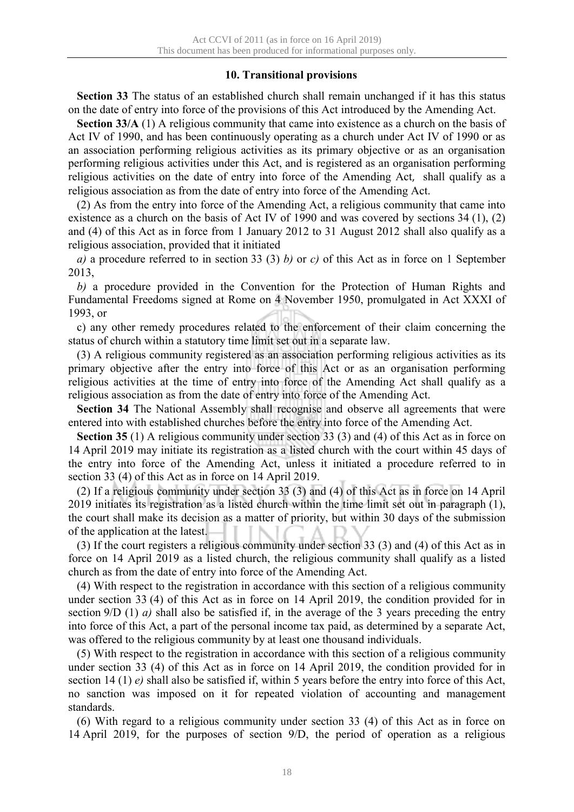## **10. Transitional provisions**

**Section 33** The status of an established church shall remain unchanged if it has this status on the date of entry into force of the provisions of this Act introduced by the Amending Act.

**Section 33/A** (1) A religious community that came into existence as a church on the basis of Act IV of 1990, and has been continuously operating as a church under Act IV of 1990 or as an association performing religious activities as its primary objective or as an organisation performing religious activities under this Act, and is registered as an organisation performing religious activities on the date of entry into force of the Amending Act, shall qualify as a religious association as from the date of entry into force of the Amending Act.

(2) As from the entry into force of the Amending Act, a religious community that came into existence as a church on the basis of Act IV of 1990 and was covered by sections 34 (1), (2) and (4) of this Act as in force from 1 January 2012 to 31 August 2012 shall also qualify as a religious association, provided that it initiated

*a)* a procedure referred to in section 33 (3) *b)* or *c)* of this Act as in force on 1 September 2013,

*b)* a procedure provided in the Convention for the Protection of Human Rights and Fundamental Freedoms signed at Rome on 4 November 1950, promulgated in Act XXXI of 1993, or

c) any other remedy procedures related to the enforcement of their claim concerning the status of church within a statutory time limit set out in a separate law.

(3) A religious community registered as an association performing religious activities as its primary objective after the entry into force of this Act or as an organisation performing religious activities at the time of entry into force of the Amending Act shall qualify as a religious association as from the date of entry into force of the Amending Act.

**Section 34** The National Assembly shall recognise and observe all agreements that were entered into with established churches before the entry into force of the Amending Act.

**Section 35** (1) A religious community under section 33 (3) and (4) of this Act as in force on 14 April 2019 may initiate its registration as a listed church with the court within 45 days of the entry into force of the Amending Act, unless it initiated a procedure referred to in section 33 (4) of this Act as in force on 14 April 2019.

(2) If a religious community under section 33 (3) and (4) of this Act as in force on 14 April 2019 initiates its registration as a listed church within the time limit set out in paragraph (1), the court shall make its decision as a matter of priority, but within 30 days of the submission of the application at the latest.

(3) If the court registers a religious community under section 33 (3) and (4) of this Act as in force on 14 April 2019 as a listed church, the religious community shall qualify as a listed church as from the date of entry into force of the Amending Act.

(4) With respect to the registration in accordance with this section of a religious community under section 33 (4) of this Act as in force on 14 April 2019, the condition provided for in section 9/D (1) *a)* shall also be satisfied if, in the average of the 3 years preceding the entry into force of this Act, a part of the personal income tax paid, as determined by a separate Act, was offered to the religious community by at least one thousand individuals.

(5) With respect to the registration in accordance with this section of a religious community under section 33 (4) of this Act as in force on 14 April 2019, the condition provided for in section 14 (1) *e)* shall also be satisfied if, within 5 years before the entry into force of this Act, no sanction was imposed on it for repeated violation of accounting and management standards.

(6) With regard to a religious community under section 33 (4) of this Act as in force on 14 April 2019, for the purposes of section 9/D, the period of operation as a religious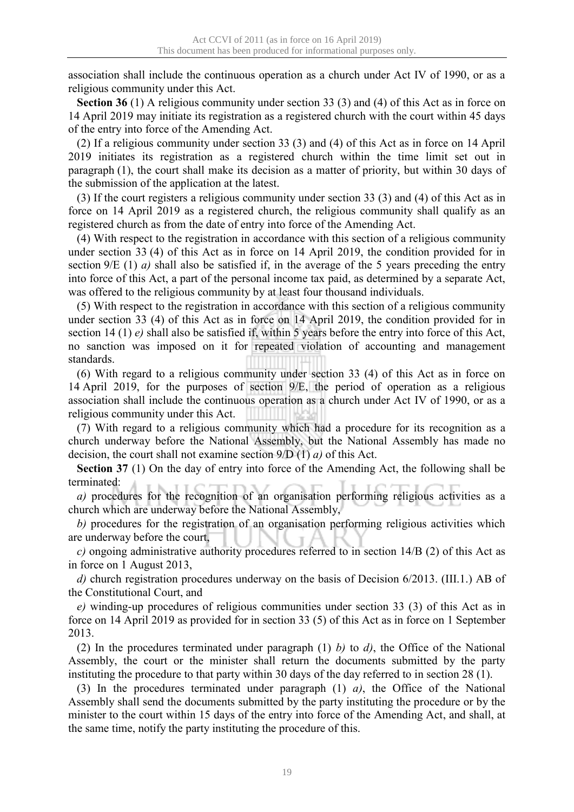association shall include the continuous operation as a church under Act IV of 1990, or as a religious community under this Act.

**Section 36** (1) A religious community under section 33 (3) and (4) of this Act as in force on 14 April 2019 may initiate its registration as a registered church with the court within 45 days of the entry into force of the Amending Act.

(2) If a religious community under section 33 (3) and (4) of this Act as in force on 14 April 2019 initiates its registration as a registered church within the time limit set out in paragraph (1), the court shall make its decision as a matter of priority, but within 30 days of the submission of the application at the latest.

(3) If the court registers a religious community under section 33 (3) and (4) of this Act as in force on 14 April 2019 as a registered church, the religious community shall qualify as an registered church as from the date of entry into force of the Amending Act.

(4) With respect to the registration in accordance with this section of a religious community under section 33 (4) of this Act as in force on 14 April 2019, the condition provided for in section 9/E (1) *a)* shall also be satisfied if, in the average of the 5 years preceding the entry into force of this Act, a part of the personal income tax paid, as determined by a separate Act, was offered to the religious community by at least four thousand individuals.

(5) With respect to the registration in accordance with this section of a religious community under section 33 (4) of this Act as in force on 14 April 2019, the condition provided for in section 14 (1) *e*) shall also be satisfied if, within 5 years before the entry into force of this Act, no sanction was imposed on it for repeated violation of accounting and management standards.

(6) With regard to a religious community under section 33 (4) of this Act as in force on 14 April 2019, for the purposes of section 9/E, the period of operation as a religious association shall include the continuous operation as a church under Act IV of 1990, or as a religious community under this Act.

(7) With regard to a religious community which had a procedure for its recognition as a church underway before the National Assembly, but the National Assembly has made no decision, the court shall not examine section 9/D (1) *a)* of this Act.

**Section 37** (1) On the day of entry into force of the Amending Act, the following shall be terminated:

*a)* procedures for the recognition of an organisation performing religious activities as a church which are underway before the National Assembly,

*b)* procedures for the registration of an organisation performing religious activities which are underway before the court,

*c)* ongoing administrative authority procedures referred to in section 14/B (2) of this Act as in force on 1 August 2013,

*d)* church registration procedures underway on the basis of Decision 6/2013. (III.1.) AB of the Constitutional Court, and

*e)* winding-up procedures of religious communities under section 33 (3) of this Act as in force on 14 April 2019 as provided for in section 33 (5) of this Act as in force on 1 September 2013.

(2) In the procedures terminated under paragraph (1) *b)* to *d)*, the Office of the National Assembly, the court or the minister shall return the documents submitted by the party instituting the procedure to that party within 30 days of the day referred to in section 28 (1).

(3) In the procedures terminated under paragraph (1) *a)*, the Office of the National Assembly shall send the documents submitted by the party instituting the procedure or by the minister to the court within 15 days of the entry into force of the Amending Act, and shall, at the same time, notify the party instituting the procedure of this.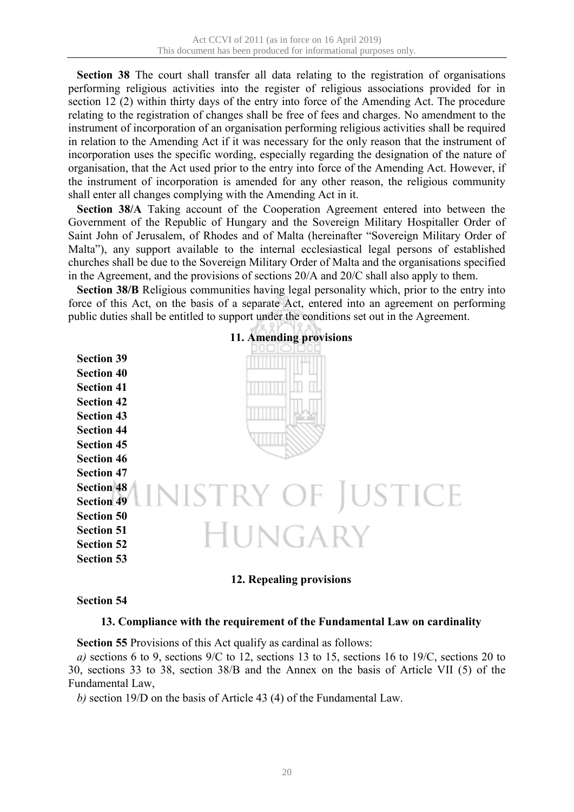**Section 38** The court shall transfer all data relating to the registration of organisations performing religious activities into the register of religious associations provided for in section 12 (2) within thirty days of the entry into force of the Amending Act. The procedure relating to the registration of changes shall be free of fees and charges. No amendment to the instrument of incorporation of an organisation performing religious activities shall be required in relation to the Amending Act if it was necessary for the only reason that the instrument of incorporation uses the specific wording, especially regarding the designation of the nature of organisation, that the Act used prior to the entry into force of the Amending Act. However, if the instrument of incorporation is amended for any other reason, the religious community shall enter all changes complying with the Amending Act in it.

**Section 38/A** Taking account of the Cooperation Agreement entered into between the Government of the Republic of Hungary and the Sovereign Military Hospitaller Order of Saint John of Jerusalem, of Rhodes and of Malta (hereinafter "Sovereign Military Order of Malta"), any support available to the internal ecclesiastical legal persons of established churches shall be due to the Sovereign Military Order of Malta and the organisations specified in the Agreement, and the provisions of sections 20/A and 20/C shall also apply to them.

**Section 38/B** Religious communities having legal personality which, prior to the entry into force of this Act, on the basis of a separate Act, entered into an agreement on performing public duties shall be entitled to support under the conditions set out in the Agreement.



## **11. Amending provisions**

## **Section 54**

#### **13. Compliance with the requirement of the Fundamental Law on cardinality**

**Section 55** Provisions of this Act qualify as cardinal as follows:

*a)* sections 6 to 9, sections 9/C to 12, sections 13 to 15, sections 16 to 19/C, sections 20 to 30, sections 33 to 38, section 38/B and the Annex on the basis of Article VII (5) of the Fundamental Law,

*b)* section 19/D on the basis of Article 43 (4) of the Fundamental Law.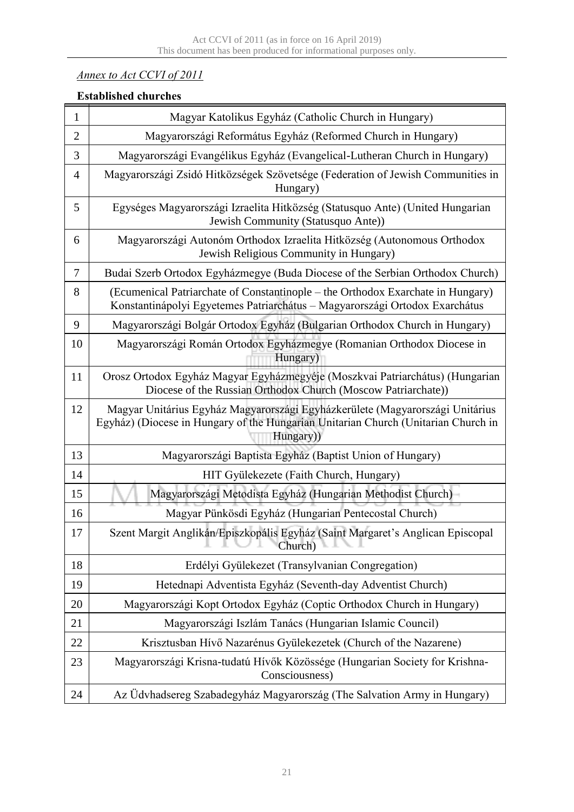# *Annex to Act CCVI of 2011*

# **Established churches**

| 1              | Magyar Katolikus Egyház (Catholic Church in Hungary)                                                                                                                             |
|----------------|----------------------------------------------------------------------------------------------------------------------------------------------------------------------------------|
| $\overline{2}$ | Magyarországi Református Egyház (Reformed Church in Hungary)                                                                                                                     |
| 3              | Magyarországi Evangélikus Egyház (Evangelical-Lutheran Church in Hungary)                                                                                                        |
| $\overline{4}$ | Magyarországi Zsidó Hitközségek Szövetsége (Federation of Jewish Communities in<br>Hungary)                                                                                      |
| 5              | Egységes Magyarországi Izraelita Hitközség (Statusquo Ante) (United Hungarian<br>Jewish Community (Statusquo Ante))                                                              |
| 6              | Magyarországi Autonóm Orthodox Izraelita Hitközség (Autonomous Orthodox<br>Jewish Religious Community in Hungary)                                                                |
| $\overline{7}$ | Budai Szerb Ortodox Egyházmegye (Buda Diocese of the Serbian Orthodox Church)                                                                                                    |
| 8              | (Ecumenical Patriarchate of Constantinople – the Orthodox Exarchate in Hungary)<br>Konstantinápolyi Egyetemes Patriarchátus - Magyarországi Ortodox Exarchátus                   |
| 9              | Magyarországi Bolgár Ortodox Egyház (Bulgarian Orthodox Church in Hungary)                                                                                                       |
| 10             | Magyarországi Román Ortodox Egyházmegye (Romanian Orthodox Diocese in<br>Hungary)                                                                                                |
| 11             | Orosz Ortodox Egyház Magyar Egyházmegyéje (Moszkvai Patriarchátus) (Hungarian<br>Diocese of the Russian Orthodox Church (Moscow Patriarchate))                                   |
| 12             | Magyar Unitárius Egyház Magyarországi Egyházkerülete (Magyarországi Unitárius<br>Egyház) (Diocese in Hungary of the Hungarian Unitarian Church (Unitarian Church in<br>Hungary)) |
| 13             | Magyarországi Baptista Egyház (Baptist Union of Hungary)                                                                                                                         |
| 14             | HIT Gyülekezete (Faith Church, Hungary)                                                                                                                                          |
| 15             | Magyarországi Metodista Egyház (Hungarian Methodist Church)                                                                                                                      |
| 16             | Magyar Pünkösdi Egyház (Hungarian Pentecostal Church)                                                                                                                            |
| 17             | Szent Margit Anglikán/Episzkopális Egyház (Saint Margaret's Anglican Episcopal<br>Church)                                                                                        |
| 18             | Erdélyi Gyülekezet (Transylvanian Congregation)                                                                                                                                  |
| 19             | Hetednapi Adventista Egyház (Seventh-day Adventist Church)                                                                                                                       |
| 20             | Magyarországi Kopt Ortodox Egyház (Coptic Orthodox Church in Hungary)                                                                                                            |
| 21             | Magyarországi Iszlám Tanács (Hungarian Islamic Council)                                                                                                                          |
| 22             | Krisztusban Hívő Nazarénus Gyülekezetek (Church of the Nazarene)                                                                                                                 |
| 23             | Magyarországi Krisna-tudatú Hívők Közössége (Hungarian Society for Krishna-<br>Consciousness)                                                                                    |
| 24             | Az Üdvhadsereg Szabadegyház Magyarország (The Salvation Army in Hungary)                                                                                                         |